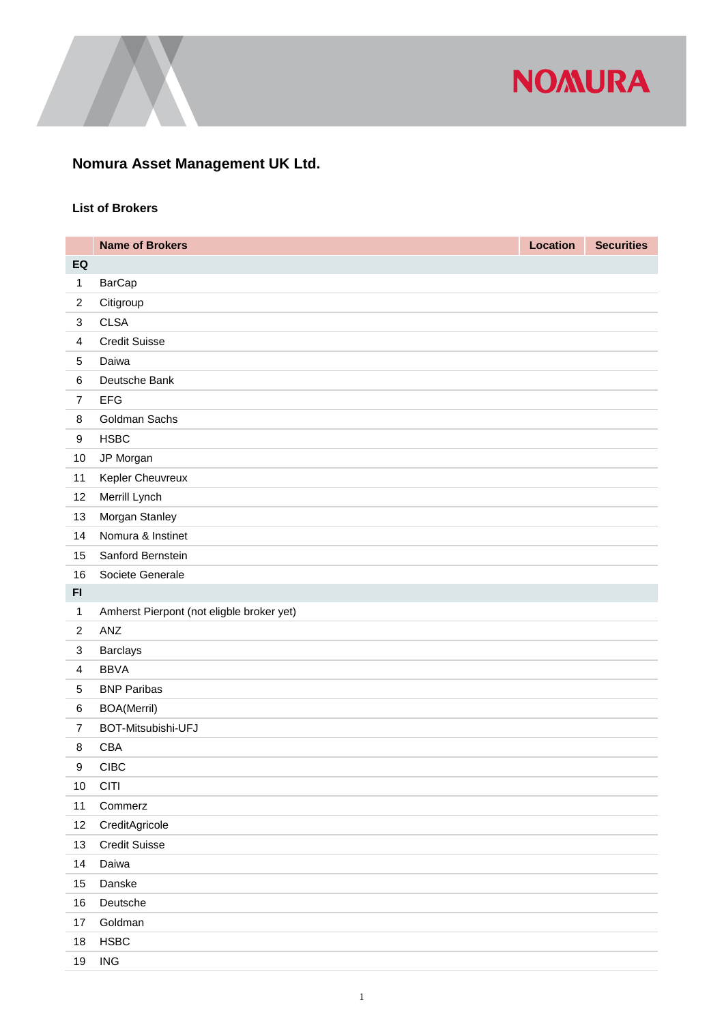

## **Nomura Asset Management UK Ltd.**

## **List of Brokers**

|                           | <b>Name of Brokers</b>                    | <b>Location</b> | <b>Securities</b> |
|---------------------------|-------------------------------------------|-----------------|-------------------|
| EQ                        |                                           |                 |                   |
| 1                         | <b>BarCap</b>                             |                 |                   |
| $\overline{c}$            | Citigroup                                 |                 |                   |
| $\ensuremath{\mathsf{3}}$ | <b>CLSA</b>                               |                 |                   |
| $\overline{\mathbf{4}}$   | <b>Credit Suisse</b>                      |                 |                   |
| 5                         | Daiwa                                     |                 |                   |
| $\,6$                     | Deutsche Bank                             |                 |                   |
| $\overline{7}$            | <b>EFG</b>                                |                 |                   |
| 8                         | Goldman Sachs                             |                 |                   |
| 9                         | <b>HSBC</b>                               |                 |                   |
| 10                        | JP Morgan                                 |                 |                   |
| 11                        | Kepler Cheuvreux                          |                 |                   |
| 12                        | Merrill Lynch                             |                 |                   |
| 13                        | Morgan Stanley                            |                 |                   |
| 14                        | Nomura & Instinet                         |                 |                   |
| 15                        | Sanford Bernstein                         |                 |                   |
| 16                        | Societe Generale                          |                 |                   |
| F1                        |                                           |                 |                   |
| 1                         | Amherst Pierpont (not eligble broker yet) |                 |                   |
| $\overline{2}$            | ANZ                                       |                 |                   |
| $\ensuremath{\mathsf{3}}$ | <b>Barclays</b>                           |                 |                   |
| $\overline{4}$            | <b>BBVA</b>                               |                 |                   |
| 5                         | <b>BNP Paribas</b>                        |                 |                   |
| $\,6$                     | <b>BOA(Merril)</b>                        |                 |                   |
| $\overline{7}$            | BOT-Mitsubishi-UFJ                        |                 |                   |
| 8                         | <b>CBA</b>                                |                 |                   |
| 9                         | <b>CIBC</b>                               |                 |                   |
| 10                        | <b>CITI</b>                               |                 |                   |
| 11                        | Commerz                                   |                 |                   |
| 12                        | CreditAgricole                            |                 |                   |
| 13                        | <b>Credit Suisse</b>                      |                 |                   |
| 14                        | Daiwa                                     |                 |                   |
| 15                        | Danske                                    |                 |                   |
| 16                        | Deutsche                                  |                 |                   |
| 17                        | Goldman                                   |                 |                   |
| 18                        | <b>HSBC</b>                               |                 |                   |
| 19                        | <b>ING</b>                                |                 |                   |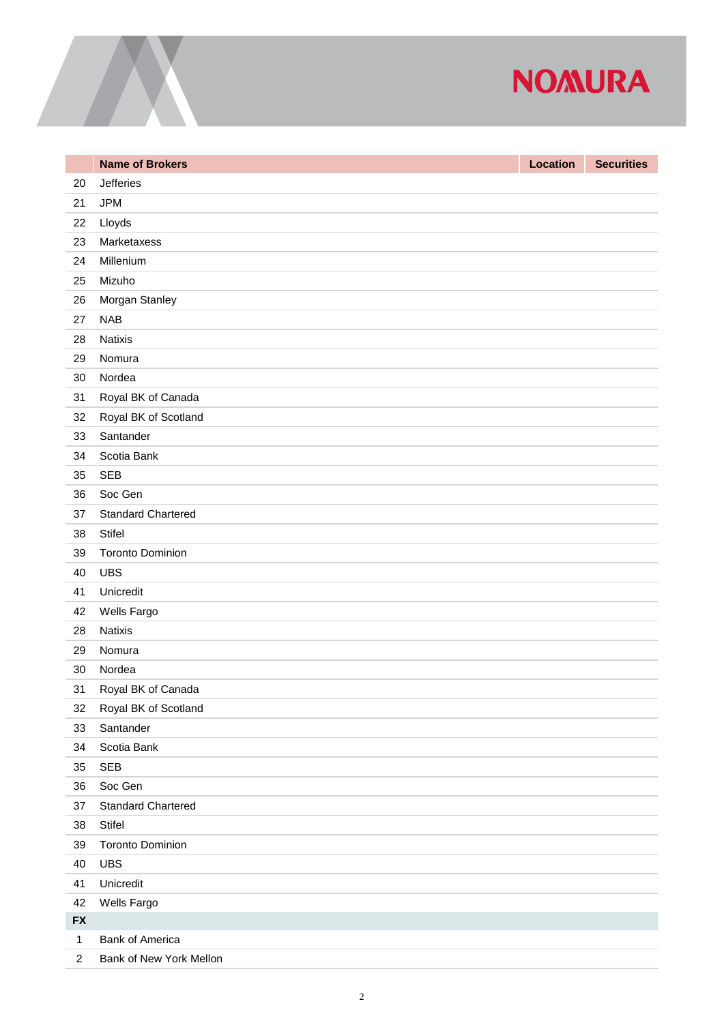

|                | <b>Name of Brokers</b>    | <b>Location</b> | <b>Securities</b> |
|----------------|---------------------------|-----------------|-------------------|
| 20             | <b>Jefferies</b>          |                 |                   |
| 21             | <b>JPM</b>                |                 |                   |
| 22             | Lloyds                    |                 |                   |
| 23             | Marketaxess               |                 |                   |
| 24             | Millenium                 |                 |                   |
| 25             | Mizuho                    |                 |                   |
| 26             | Morgan Stanley            |                 |                   |
| 27             | <b>NAB</b>                |                 |                   |
| 28             | <b>Natixis</b>            |                 |                   |
| 29             | Nomura                    |                 |                   |
| 30             | Nordea                    |                 |                   |
| 31             | Royal BK of Canada        |                 |                   |
| 32             | Royal BK of Scotland      |                 |                   |
| 33             | Santander                 |                 |                   |
| 34             | Scotia Bank               |                 |                   |
| 35             | <b>SEB</b>                |                 |                   |
| 36             | Soc Gen                   |                 |                   |
| 37             | <b>Standard Chartered</b> |                 |                   |
| 38             | Stifel                    |                 |                   |
| 39             | <b>Toronto Dominion</b>   |                 |                   |
| 40             | <b>UBS</b>                |                 |                   |
| 41             | Unicredit                 |                 |                   |
| 42             | Wells Fargo               |                 |                   |
| 28             | <b>Natixis</b>            |                 |                   |
| 29             | Nomura                    |                 |                   |
| 30             | Nordea                    |                 |                   |
| 31             | Royal BK of Canada        |                 |                   |
| 32             | Royal BK of Scotland      |                 |                   |
| 33             | Santander                 |                 |                   |
| 34             | Scotia Bank               |                 |                   |
| 35             | SEB                       |                 |                   |
| 36             | Soc Gen                   |                 |                   |
| 37             | <b>Standard Chartered</b> |                 |                   |
| 38             | Stifel                    |                 |                   |
| 39             | <b>Toronto Dominion</b>   |                 |                   |
| 40             | <b>UBS</b>                |                 |                   |
| 41             | Unicredit                 |                 |                   |
| 42             | Wells Fargo               |                 |                   |
| <b>FX</b>      |                           |                 |                   |
| $\mathbf{1}$   | Bank of America           |                 |                   |
| $\overline{c}$ | Bank of New York Mellon   |                 |                   |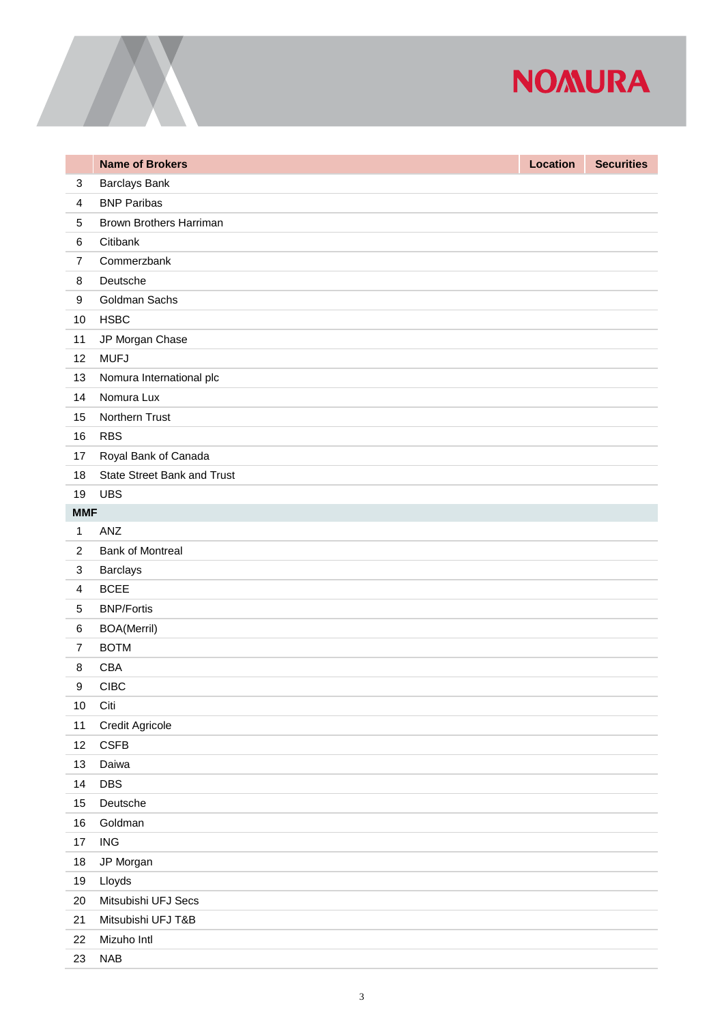## **NOMURA**

|                  | <b>Name of Brokers</b>             | Location | <b>Securities</b> |
|------------------|------------------------------------|----------|-------------------|
| $\sqrt{3}$       | <b>Barclays Bank</b>               |          |                   |
| $\overline{4}$   | <b>BNP Paribas</b>                 |          |                   |
| $\sqrt{5}$       | Brown Brothers Harriman            |          |                   |
| $\,6$            | Citibank                           |          |                   |
| $\overline{7}$   | Commerzbank                        |          |                   |
| 8                | Deutsche                           |          |                   |
| $\boldsymbol{9}$ | Goldman Sachs                      |          |                   |
| 10               | <b>HSBC</b>                        |          |                   |
| 11               | JP Morgan Chase                    |          |                   |
| 12               | <b>MUFJ</b>                        |          |                   |
| 13               | Nomura International plc           |          |                   |
| 14               | Nomura Lux                         |          |                   |
| 15               | Northern Trust                     |          |                   |
| 16               | <b>RBS</b>                         |          |                   |
| 17               | Royal Bank of Canada               |          |                   |
| 18               | <b>State Street Bank and Trust</b> |          |                   |
| 19               | <b>UBS</b>                         |          |                   |
| <b>MMF</b>       |                                    |          |                   |
| $\mathbf{1}$     | ANZ                                |          |                   |
| $\mathbf{2}$     | <b>Bank of Montreal</b>            |          |                   |
| $\sqrt{3}$       | Barclays                           |          |                   |
| $\overline{4}$   | <b>BCEE</b>                        |          |                   |
| $\sqrt{5}$       | <b>BNP/Fortis</b>                  |          |                   |
| $\,6$            | <b>BOA(Merril)</b>                 |          |                   |
| $\overline{7}$   | <b>BOTM</b>                        |          |                   |
| 8                | CBA                                |          |                   |
| $\boldsymbol{9}$ | <b>CIBC</b>                        |          |                   |
| $10$             | Citi                               |          |                   |
| 11               | Credit Agricole                    |          |                   |
| 12               | <b>CSFB</b>                        |          |                   |
| 13               | Daiwa                              |          |                   |
| 14               | <b>DBS</b>                         |          |                   |
| 15               | Deutsche                           |          |                   |
| 16               | Goldman                            |          |                   |
| $17$             | <b>ING</b>                         |          |                   |
| $18$             | JP Morgan                          |          |                   |
| 19               | Lloyds                             |          |                   |
| 20               | Mitsubishi UFJ Secs                |          |                   |
| 21               | Mitsubishi UFJ T&B                 |          |                   |
| 22               | Mizuho Intl                        |          |                   |
| 23               | <b>NAB</b>                         |          |                   |